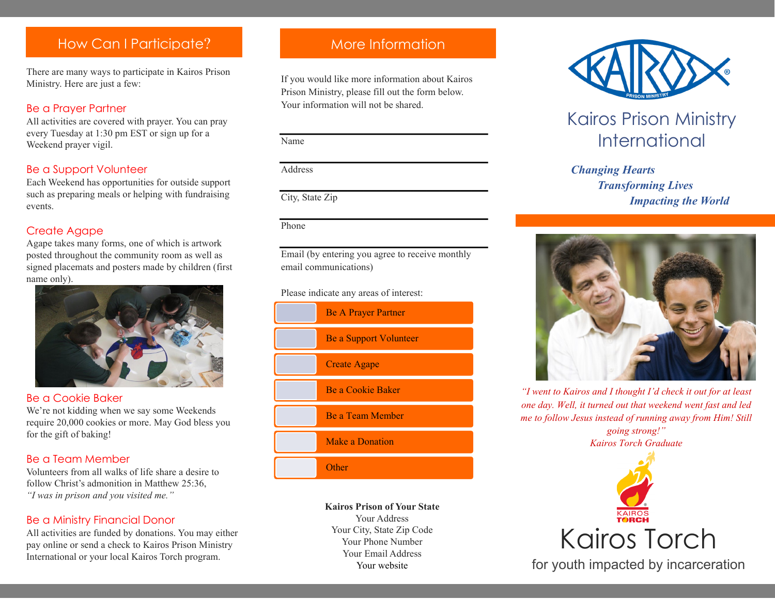## How Can I Participate?

There are many ways to participate in Kairos Prison Ministry. Here are just a few:

## Be a Prayer Partner

All activities are covered with prayer. You can pray every Tuesday at 1:30 pm EST or sign up for a Weekend prayer vigil.

### Be a Support Volunteer

Each Weekend has opportunities for outside support such as preparing meals or helping with fundraising events.

### Create Agape

Agape takes many forms, one of which is artwork posted throughout the community room as well as signed placemats and posters made by children (first name only).



#### Be a Cookie Baker

We're not kidding when we say some Weekends require 20,000 cookies or more. May God bless you for the gift of baking!

## Be a Team Member

Volunteers from all walks of life share a desire to follow Christ's admonition in Matthew 25:36, *"I was in prison and you visited me."*

## Be a Ministry Financial Donor

All activities are funded by donations. You may either pay online or send a check to Kairos Prison Ministry International or your local Kairos Torch program.

## More Information

If you would like more information about Kairos Prison Ministry, please fill out the form below. Your information will not be shared.

Name

Address

City, State Zip

Phone

Email (by entering you agree to receive monthly email communications)

Please indicate any areas of interest:



#### **Kairos Prison of Your State** Your Address Your City, State Zip Code Your Phone Number Your Email Address Your website



# Kairos Prison Ministry International

## *Changing Hearts Transforming Lives Impacting the World*



*"I went to Kairos and I thought I'd check it out for at least one day. Well, it turned out that weekend went fast and led me to follow Jesus instead of running away from Him! Still going strong!" Kairos Torch Graduate*



for youth impacted by incarceration